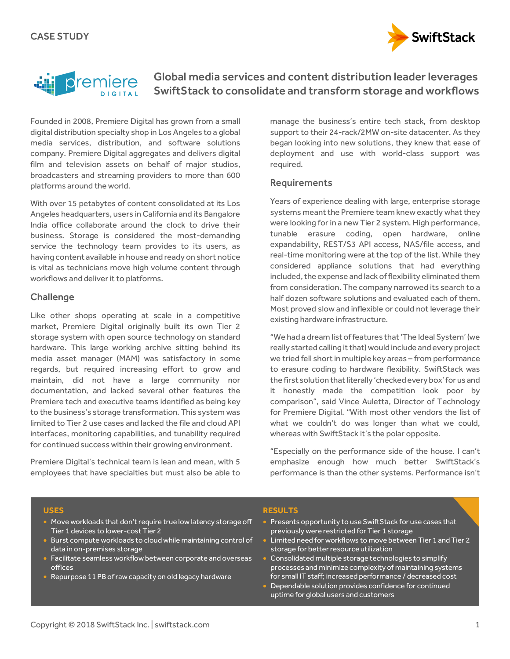



# Global media services and content distribution leader leverages SwiftStack to consolidate and transform storage and workflows

Founded in 2008, Premiere Digital has grown from a small digital distribution specialty shop in Los Angeles to a global media services, distribution, and software solutions company. Premiere Digital aggregates and delivers digital film and television assets on behalf of major studios, broadcasters and streaming providers to more than 600 platforms around the world.

With over 15 petabytes of content consolidated at its Los Angeles headquarters, users in California and its Bangalore India office collaborate around the clock to drive their business. Storage is considered the most-demanding service the technology team provides to its users, as having content available in house and ready on short notice is vital as technicians move high volume content through workflows and deliver it to platforms.

## **Challenge**

Like other shops operating at scale in a competitive market, Premiere Digital originally built its own Tier 2 storage system with open source technology on standard hardware. This large working archive sitting behind its media asset manager (MAM) was satisfactory in some regards, but required increasing effort to grow and maintain, did not have a large community nor documentation, and lacked several other features the Premiere tech and executive teams identified as being key to the business's storage transformation. This system was limited to Tier 2 use cases and lacked the file and cloud API interfaces, monitoring capabilities, and tunability required for continued success within their growing environment.

Premiere Digital's technical team is lean and mean, with 5 employees that have specialties but must also be able to manage the business's entire tech stack, from desktop support to their 24-rack/2MW on-site datacenter. As they began looking into new solutions, they knew that ease of deployment and use with world-class support was required.

## Requirements

Years of experience dealing with large, enterprise storage systems meant the Premiere team knew exactly what they were looking for in a new Tier 2 system. High performance, tunable erasure coding, open hardware, online expandability, REST/S3 API access, NAS/file access, and real-time monitoring were at the top of the list. While they considered appliance solutions that had everything included, the expense and lack of flexibility eliminated them from consideration. The company narrowed its search to a half dozen software solutions and evaluated each of them. Most proved slow and inflexible or could not leverage their existing hardware infrastructure.

"We had a dream list of features that 'The Ideal System' (we really started calling it that) would include and every project we tried fell short in multiple key areas – from performance to erasure coding to hardware flexibility. SwiftStack was the first solution that literally 'checkedevery box' for us and it honestly made the competition look poor by comparison", said Vince Auletta, Director of Technology for Premiere Digital. "With most other vendors the list of what we couldn't do was longer than what we could, whereas with SwiftStack it's the polar opposite.

"Especially on the performance side of the house. I can't emphasize enough how much better SwiftStack's performance is than the other systems. Performance isn't

#### **USES**

- Move workloads that don't require true low latency storage off Tier 1 devices to lower-cost Tier 2
- Burst compute workloads to cloud while maintaining control of data in on-premises storage
- Facilitate seamless workflow between corporate and overseas offices
- Repurpose 11 PB of raw capacity on old legacy hardware

#### **RESULTS**

- **Presents opportunity to use SwiftStack for use cases that** previously were restricted for Tier 1 storage
- Limited need for workflows to move between Tier 1 and Tier 2 storage for better resource utilization
- Consolidated multiple storage technologies to simplify processes and minimize complexity of maintaining systems for small IT staff; increased performance / decreased cost
- Dependable solution provides confidence for continued uptime for global users and customers